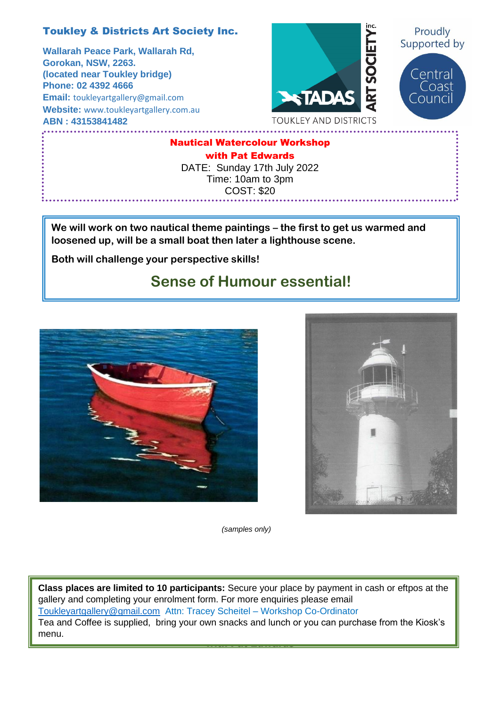## Toukley & Districts Art Society Inc.

**Wallarah Peace Park, Wallarah Rd,** **Gorokan, NSW, 2263. (located near Toukley bridge) Phone: 02 4392 4666 Email:** [toukleyartgallery@gmail.com](mailto:toukleyartgallery@gmail.com) **Website:** [www.toukleyartgallery.com.au](http://www.toukleyartgallery.com.au/) **ABN : 43153841482**



Nautical Watercolour Workshop with Pat Edwards

DATE: Sunday 17th July 2022 Time: 10am to 3pm COST: \$20

**We will work on two nautical theme paintings – the first to get us warmed and loosened up, will be a small boat then later a lighthouse scene.** 

**Both will challenge your perspective skills!**

## **Sense of Humour essential!**





*(samples only)*

Tea and Coffee is supplied, bring your own snacks and lunch or you can purchase from the Kiosk's<br>manu with Pat Edwards and Pat Edwards and Pat Edwards and Pat Edwards and Pat Edwards and Pat Edwards and Pat Edward **Class places are limited to 10 participants:** Secure your place by payment in cash or eftpos at the gallery and completing your enrolment form. For more enquiries please email [Toukleyartgallery@gmail.com](mailto:Toukleyartgallery@gmail.com) Attn: Tracey Scheitel – Workshop Co-Ordinator menu.